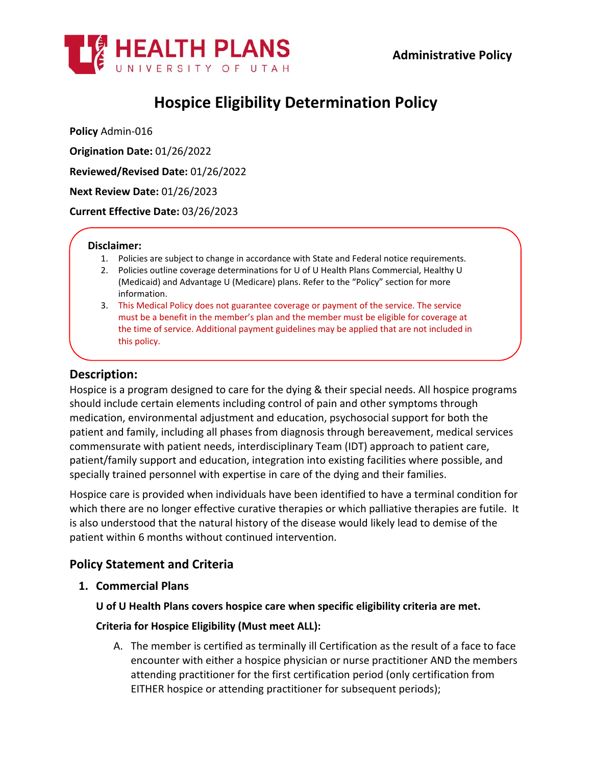



# **Hospice Eligibility Determination Policy**

**Policy** Admin-016

**Origination Date:** 01/26/2022

**Reviewed/Revised Date:** 01/26/2022

**Next Review Date:** 01/26/2023

**Current Effective Date:** 03/26/2023

#### **Disclaimer:**

- 1. Policies are subject to change in accordance with State and Federal notice requirements.
- 2. Policies outline coverage determinations for U of U Health Plans Commercial, Healthy U (Medicaid) and Advantage U (Medicare) plans. Refer to the "Policy" section for more information.
- 3. This Medical Policy does not guarantee coverage or payment of the service. The service must be a benefit in the member's plan and the member must be eligible for coverage at the time of service. Additional payment guidelines may be applied that are not included in this policy.

# **Description:**

Hospice is a program designed to care for the dying & their special needs. All hospice programs should include certain elements including control of pain and other symptoms through medication, environmental adjustment and education, psychosocial support for both the patient and family, including all phases from diagnosis through bereavement, medical services commensurate with patient needs, interdisciplinary Team (IDT) approach to patient care, patient/family support and education, integration into existing facilities where possible, and specially trained personnel with expertise in care of the dying and their families.

Hospice care is provided when individuals have been identified to have a terminal condition for which there are no longer effective curative therapies or which palliative therapies are futile. It is also understood that the natural history of the disease would likely lead to demise of the patient within 6 months without continued intervention.

# **Policy Statement and Criteria**

**1. Commercial Plans**

# **U of U Health Plans covers hospice care when specific eligibility criteria are met.**

# **Criteria for Hospice Eligibility (Must meet ALL):**

A. The member is certified as terminally ill Certification as the result of a face to face encounter with either a hospice physician or nurse practitioner AND the members attending practitioner for the first certification period (only certification from EITHER hospice or attending practitioner for subsequent periods);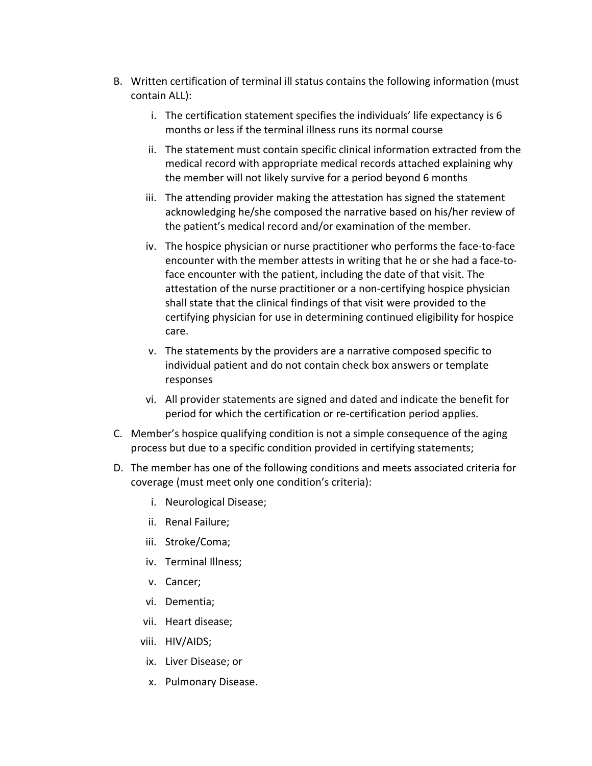- B. Written certification of terminal ill status contains the following information (must contain ALL):
	- i. The certification statement specifies the individuals' life expectancy is 6 months or less if the terminal illness runs its normal course
	- ii. The statement must contain specific clinical information extracted from the medical record with appropriate medical records attached explaining why the member will not likely survive for a period beyond 6 months
	- iii. The attending provider making the attestation has signed the statement acknowledging he/she composed the narrative based on his/her review of the patient's medical record and/or examination of the member.
	- iv. The hospice physician or nurse practitioner who performs the face-to-face encounter with the member attests in writing that he or she had a face-toface encounter with the patient, including the date of that visit. The attestation of the nurse practitioner or a non-certifying hospice physician shall state that the clinical findings of that visit were provided to the certifying physician for use in determining continued eligibility for hospice care.
	- v. The statements by the providers are a narrative composed specific to individual patient and do not contain check box answers or template responses
	- vi. All provider statements are signed and dated and indicate the benefit for period for which the certification or re-certification period applies.
- C. Member's hospice qualifying condition is not a simple consequence of the aging process but due to a specific condition provided in certifying statements;
- D. The member has one of the following conditions and meets associated criteria for coverage (must meet only one condition's criteria):
	- i. Neurological Disease;
	- ii. Renal Failure;
	- iii. Stroke/Coma;
	- iv. Terminal Illness;
	- v. Cancer;
	- vi. Dementia;
	- vii. Heart disease;
	- viii. HIV/AIDS;
	- ix. Liver Disease; or
	- x. Pulmonary Disease.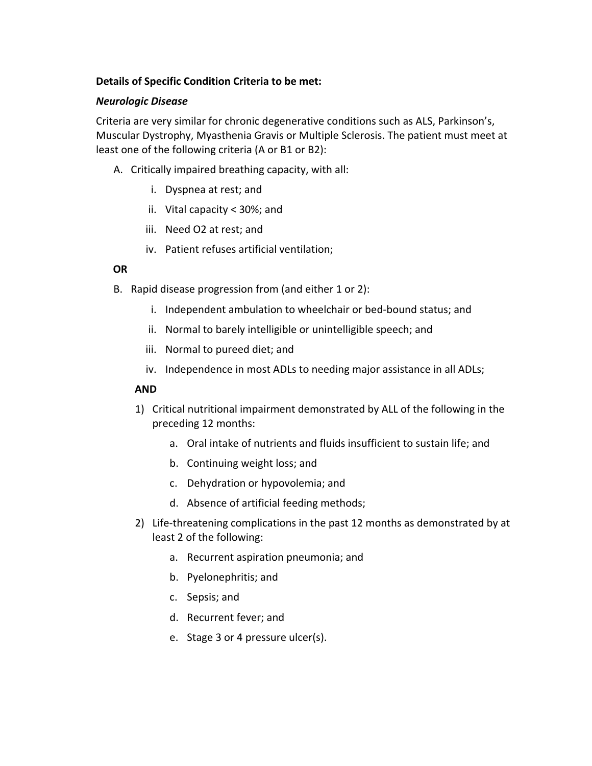# **Details of Specific Condition Criteria to be met:**

# *Neurologic Disease*

Criteria are very similar for chronic degenerative conditions such as ALS, Parkinson's, Muscular Dystrophy, Myasthenia Gravis or Multiple Sclerosis. The patient must meet at least one of the following criteria (A or B1 or B2):

- A. Critically impaired breathing capacity, with all:
	- i. Dyspnea at rest; and
	- ii. Vital capacity < 30%; and
	- iii. Need O2 at rest; and
	- iv. Patient refuses artificial ventilation;

# **OR**

- B. Rapid disease progression from (and either 1 or 2):
	- i. Independent ambulation to wheelchair or bed-bound status; and
	- ii. Normal to barely intelligible or unintelligible speech; and
	- iii. Normal to pureed diet; and
	- iv. Independence in most ADLs to needing major assistance in all ADLs;

# **AND**

- 1) Critical nutritional impairment demonstrated by ALL of the following in the preceding 12 months:
	- a. Oral intake of nutrients and fluids insufficient to sustain life; and
	- b. Continuing weight loss; and
	- c. Dehydration or hypovolemia; and
	- d. Absence of artificial feeding methods;
- 2) Life-threatening complications in the past 12 months as demonstrated by at least 2 of the following:
	- a. Recurrent aspiration pneumonia; and
	- b. Pyelonephritis; and
	- c. Sepsis; and
	- d. Recurrent fever; and
	- e. Stage 3 or 4 pressure ulcer(s).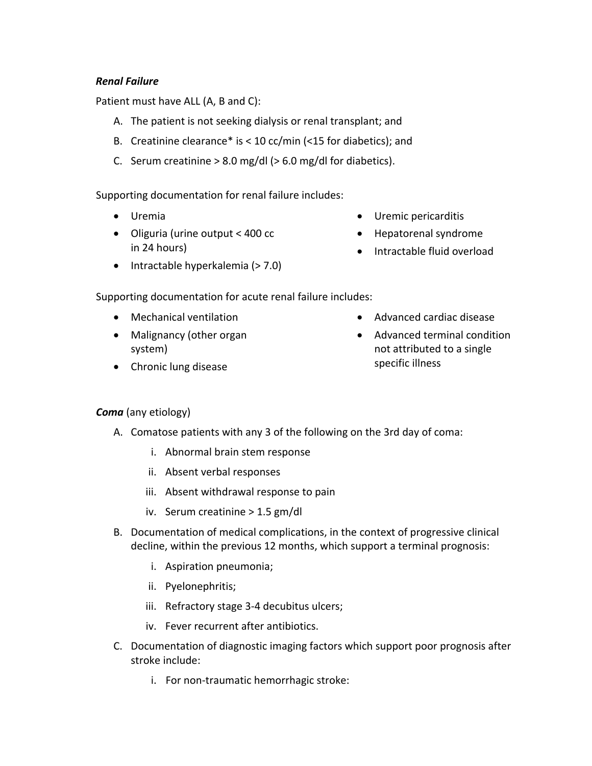# *Renal Failure*

Patient must have ALL (A, B and C):

- A. The patient is not seeking dialysis or renal transplant; and
- B. Creatinine clearance\* is < 10 cc/min (<15 for diabetics); and
- C. Serum creatinine  $> 8.0$  mg/dl  $(> 6.0$  mg/dl for diabetics).

Supporting documentation for renal failure includes:

- Uremia
- Oliguria (urine output < 400 cc in 24 hours)
- Intractable hyperkalemia (> 7.0)

Supporting documentation for acute renal failure includes:

- Mechanical ventilation
- Malignancy (other organ system)
- Chronic lung disease
- Uremic pericarditis
- Hepatorenal syndrome
- Intractable fluid overload
- Advanced cardiac disease
- Advanced terminal condition not attributed to a single specific illness

# *Coma* (any etiology)

- A. Comatose patients with any 3 of the following on the 3rd day of coma:
	- i. Abnormal brain stem response
	- ii. Absent verbal responses
	- iii. Absent withdrawal response to pain
	- iv. Serum creatinine > 1.5 gm/dl
- B. Documentation of medical complications, in the context of progressive clinical decline, within the previous 12 months, which support a terminal prognosis:
	- i. Aspiration pneumonia;
	- ii. Pyelonephritis;
	- iii. Refractory stage 3-4 decubitus ulcers;
	- iv. Fever recurrent after antibiotics.
- C. Documentation of diagnostic imaging factors which support poor prognosis after stroke include:
	- i. For non-traumatic hemorrhagic stroke: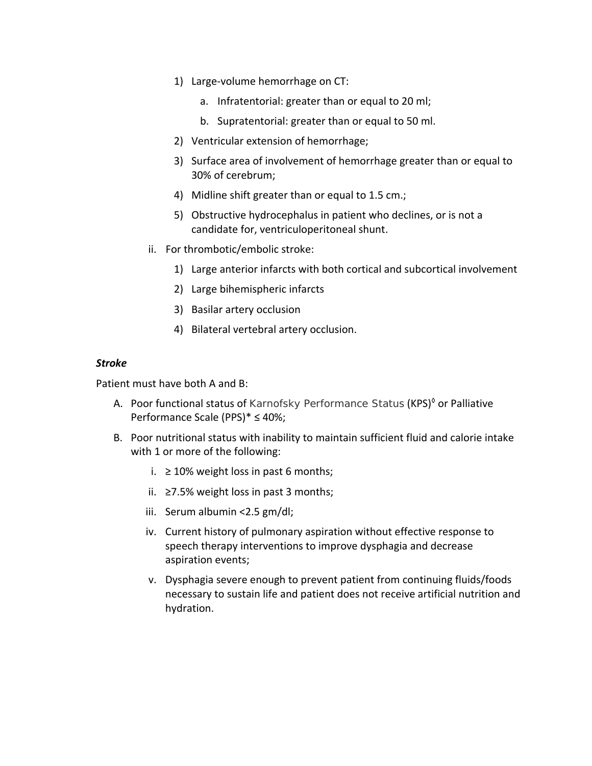- 1) Large-volume hemorrhage on CT:
	- a. Infratentorial: greater than or equal to 20 ml;
	- b. Supratentorial: greater than or equal to 50 ml.
- 2) Ventricular extension of hemorrhage;
- 3) Surface area of involvement of hemorrhage greater than or equal to 30% of cerebrum;
- 4) Midline shift greater than or equal to 1.5 cm.;
- 5) Obstructive hydrocephalus in patient who declines, or is not a candidate for, ventriculoperitoneal shunt.
- ii. For thrombotic/embolic stroke:
	- 1) Large anterior infarcts with both cortical and subcortical involvement
	- 2) Large bihemispheric infarcts
	- 3) Basilar artery occlusion
	- 4) Bilateral vertebral artery occlusion.

#### *Stroke*

Patient must have both A and B:

- A. Poor functional status of Karnofsky Performance Status (KPS)<sup>®</sup> or Palliative Performance Scale (PPS)\* ≤ 40%;
- B. Poor nutritional status with inability to maintain sufficient fluid and calorie intake with 1 or more of the following:
	- i. ≥ 10% weight loss in past 6 months;
	- ii. ≥7.5% weight loss in past 3 months;
	- iii. Serum albumin <2.5 gm/dl;
	- iv. Current history of pulmonary aspiration without effective response to speech therapy interventions to improve dysphagia and decrease aspiration events;
	- v. Dysphagia severe enough to prevent patient from continuing fluids/foods necessary to sustain life and patient does not receive artificial nutrition and hydration.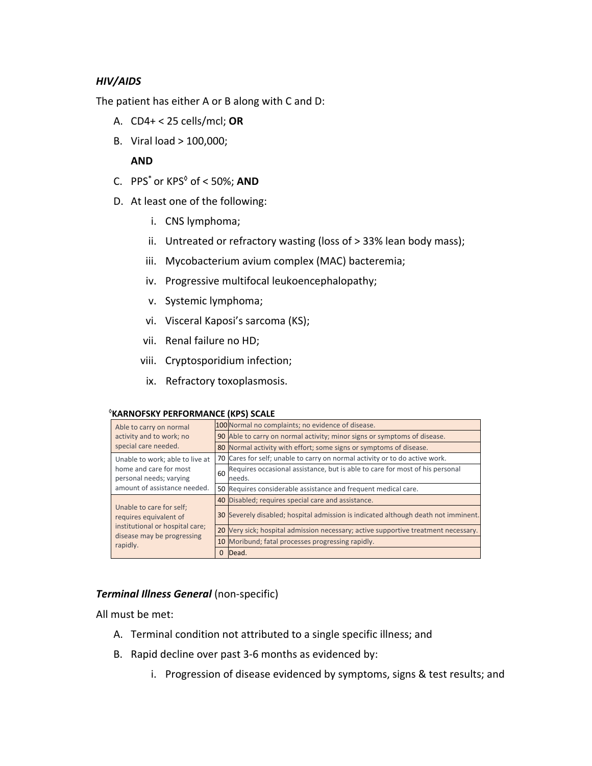# *HIV/AIDS*

The patient has either A or B along with C and D:

- A. CD4+ < 25 cells/mcl; **OR**
- B. Viral load > 100,000;

# **AND**

- C. PPS\* or KPS◊ of < 50%; **AND**
- D. At least one of the following:
	- i. CNS lymphoma;
	- ii. Untreated or refractory wasting (loss of > 33% lean body mass);
	- iii. Mycobacterium avium complex (MAC) bacteremia;
	- iv. Progressive multifocal leukoencephalopathy;
	- v. Systemic lymphoma;
	- vi. Visceral Kaposi's sarcoma (KS);
	- vii. Renal failure no HD;
	- viii. Cryptosporidium infection;
	- ix. Refractory toxoplasmosis.

#### ◊ **KARNOFSKY PERFORMANCE (KPS) SCALE**

| Able to carry on normal                                                                                                         |    | 100 Normal no complaints; no evidence of disease.                                      |  |
|---------------------------------------------------------------------------------------------------------------------------------|----|----------------------------------------------------------------------------------------|--|
| activity and to work; no                                                                                                        |    | 90 Able to carry on normal activity; minor signs or symptoms of disease.               |  |
| special care needed.                                                                                                            |    | 80 Normal activity with effort; some signs or symptoms of disease.                     |  |
| Unable to work; able to live at<br>home and care for most<br>personal needs; varying<br>amount of assistance needed.            |    | 70 Cares for self; unable to carry on normal activity or to do active work.            |  |
|                                                                                                                                 | 60 | Requires occasional assistance, but is able to care for most of his personal<br>needs. |  |
|                                                                                                                                 |    | 50 Requires considerable assistance and frequent medical care.                         |  |
| Unable to care for self;<br>requires equivalent of<br>institutional or hospital care;<br>disease may be progressing<br>rapidly. |    | 40 Disabled; requires special care and assistance.                                     |  |
|                                                                                                                                 |    | 30 Severely disabled; hospital admission is indicated although death not imminent.     |  |
|                                                                                                                                 |    | 20 Very sick; hospital admission necessary; active supportive treatment necessary.     |  |
|                                                                                                                                 |    | 10 Moribund; fatal processes progressing rapidly.                                      |  |
|                                                                                                                                 | 0  | Dead.                                                                                  |  |

# *Terminal Illness General* (non-specific)

All must be met:

- A. Terminal condition not attributed to a single specific illness; and
- B. Rapid decline over past 3-6 months as evidenced by:
	- i. Progression of disease evidenced by symptoms, signs & test results; and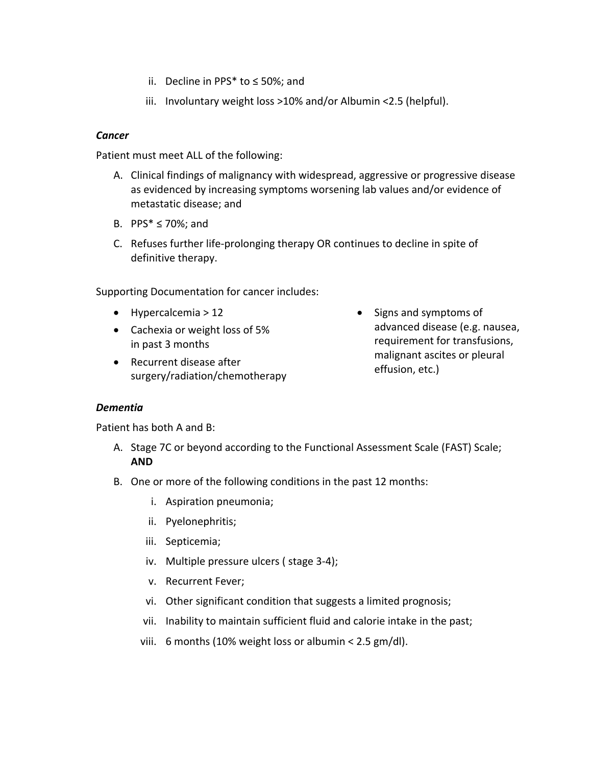- ii. Decline in PPS\* to ≤ 50%; and
- iii. Involuntary weight loss >10% and/or Albumin <2.5 (helpful).

### *Cancer*

Patient must meet ALL of the following:

- A. Clinical findings of malignancy with widespread, aggressive or progressive disease as evidenced by increasing symptoms worsening lab values and/or evidence of metastatic disease; and
- B. PPS\* ≤ 70%; and
- C. Refuses further life-prolonging therapy OR continues to decline in spite of definitive therapy.

Supporting Documentation for cancer includes:

- Hypercalcemia > 12
- Cachexia or weight loss of 5% in past 3 months
- Recurrent disease after surgery/radiation/chemotherapy
- Signs and symptoms of advanced disease (e.g. nausea, requirement for transfusions, malignant ascites or pleural effusion, etc.)

# *Dementia*

Patient has both A and B:

- A. Stage 7C or beyond according to the Functional Assessment Scale (FAST) Scale; **AND**
- B. One or more of the following conditions in the past 12 months:
	- i. Aspiration pneumonia;
	- ii. Pyelonephritis;
	- iii. Septicemia;
	- iv. Multiple pressure ulcers ( stage 3-4);
	- v. Recurrent Fever;
	- vi. Other significant condition that suggests a limited prognosis;
	- vii. Inability to maintain sufficient fluid and calorie intake in the past;
	- viii. 6 months (10% weight loss or albumin < 2.5 gm/dl).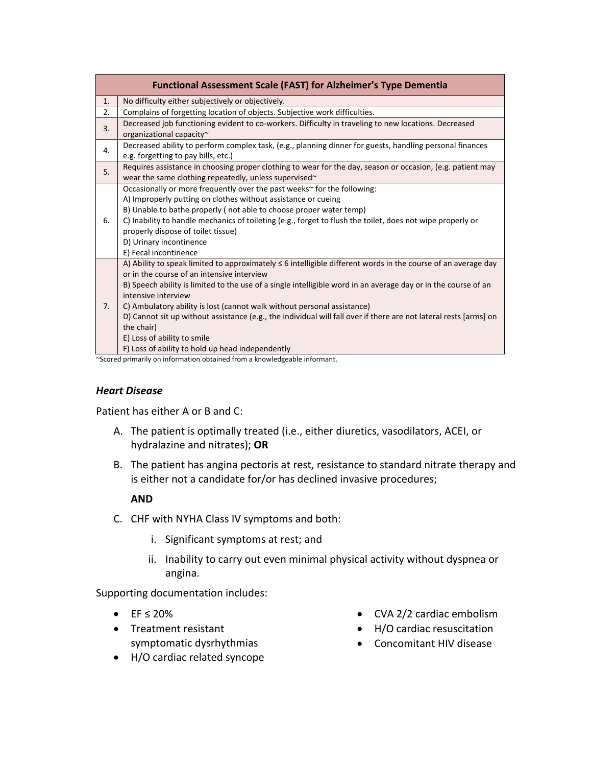|    | <b>Functional Assessment Scale (FAST) for Alzheimer's Type Dementia</b>                                                                                                                                                                                                                                                                                                                                                                                                                                                                                                                                    |
|----|------------------------------------------------------------------------------------------------------------------------------------------------------------------------------------------------------------------------------------------------------------------------------------------------------------------------------------------------------------------------------------------------------------------------------------------------------------------------------------------------------------------------------------------------------------------------------------------------------------|
| 1. | No difficulty either subjectively or objectively.                                                                                                                                                                                                                                                                                                                                                                                                                                                                                                                                                          |
| 2. | Complains of forgetting location of objects. Subjective work difficulties.                                                                                                                                                                                                                                                                                                                                                                                                                                                                                                                                 |
| 3. | Decreased job functioning evident to co-workers. Difficulty in traveling to new locations. Decreased<br>organizational capacity~                                                                                                                                                                                                                                                                                                                                                                                                                                                                           |
| 4. | Decreased ability to perform complex task, (e.g., planning dinner for guests, handling personal finances<br>e.g. forgetting to pay bills, etc.)                                                                                                                                                                                                                                                                                                                                                                                                                                                            |
| 5. | Requires assistance in choosing proper clothing to wear for the day, season or occasion, (e.g. patient may<br>wear the same clothing repeatedly, unless supervised~                                                                                                                                                                                                                                                                                                                                                                                                                                        |
| 6. | Occasionally or more frequently over the past weeks~ for the following:<br>A) Improperly putting on clothes without assistance or cueing<br>B) Unable to bathe properly (not able to choose proper water temp)<br>C) Inability to handle mechanics of toileting (e.g., forget to flush the toilet, does not wipe properly or<br>properly dispose of toilet tissue)<br>D) Urinary incontinence<br>E) Fecal incontinence                                                                                                                                                                                     |
| 7. | A) Ability to speak limited to approximately $\leq 6$ intelligible different words in the course of an average day<br>or in the course of an intensive interview<br>B) Speech ability is limited to the use of a single intelligible word in an average day or in the course of an<br>intensive interview<br>C) Ambulatory ability is lost (cannot walk without personal assistance)<br>D) Cannot sit up without assistance (e.g., the individual will fall over if there are not lateral rests [arms] on<br>the chair)<br>E) Loss of ability to smile<br>F) Loss of ability to hold up head independently |

~Scored primarily on information obtained from a knowledgeable informant.

#### *Heart Disease*

Patient has either A or B and C:

- A. The patient is optimally treated (i.e., either diuretics, vasodilators, ACEI, or hydralazine and nitrates); **OR**
- B. The patient has angina pectoris at rest, resistance to standard nitrate therapy and is either not a candidate for/or has declined invasive procedures;

#### **AND**

- C. CHF with NYHA Class IV symptoms and both:
	- i. Significant symptoms at rest; and
	- ii. Inability to carry out even minimal physical activity without dyspnea or angina.

Supporting documentation includes:

- $•$  FF < 20%
- Treatment resistant symptomatic dysrhythmias
- H/O cardiac related syncope
- CVA 2/2 cardiac embolism
- H/O cardiac resuscitation
- Concomitant HIV disease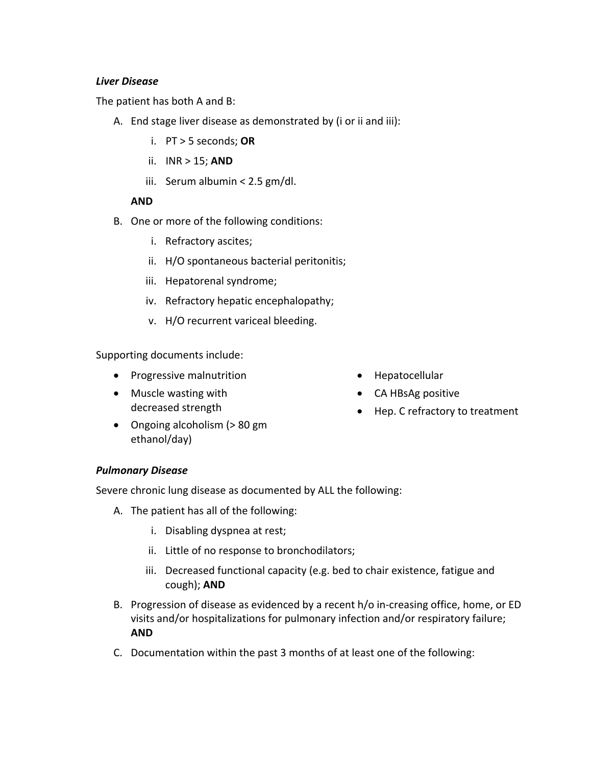# *Liver Disease*

The patient has both A and B:

- A. End stage liver disease as demonstrated by (i or ii and iii):
	- i. PT > 5 seconds; **OR**
	- ii. INR > 15; **AND**
	- iii. Serum albumin < 2.5 gm/dl.

#### **AND**

- B. One or more of the following conditions:
	- i. Refractory ascites;
	- ii. H/O spontaneous bacterial peritonitis;
	- iii. Hepatorenal syndrome;
	- iv. Refractory hepatic encephalopathy;
	- v. H/O recurrent variceal bleeding.

Supporting documents include:

- Progressive malnutrition
- Muscle wasting with decreased strength
- Ongoing alcoholism (> 80 gm ethanol/day)
- Hepatocellular
- CA HBsAg positive
- Hep. C refractory to treatment

# *Pulmonary Disease*

Severe chronic lung disease as documented by ALL the following:

- A. The patient has all of the following:
	- i. Disabling dyspnea at rest;
	- ii. Little of no response to bronchodilators;
	- iii. Decreased functional capacity (e.g. bed to chair existence, fatigue and cough); **AND**
- B. Progression of disease as evidenced by a recent h/o in-creasing office, home, or ED visits and/or hospitalizations for pulmonary infection and/or respiratory failure; **AND**
- C. Documentation within the past 3 months of at least one of the following: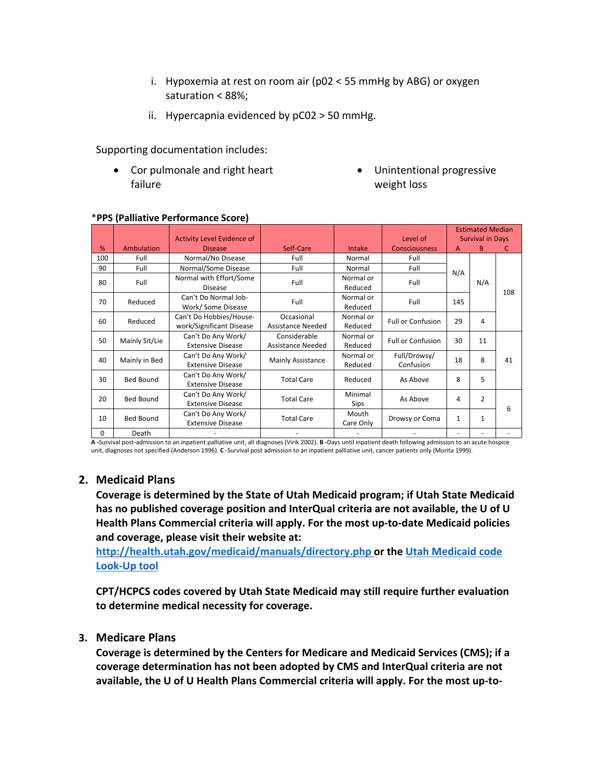- i. Hypoxemia at rest on room air (p02 < 55 mmHg by ABG) or oxygen saturation < 88%;
- ii. Hypercapnia evidenced by pC02 > 50 mmHg.

Supporting documentation includes:

• Cor pulmonale and right heart failure

• Unintentional progressive weight loss

|                        |                          |                                     |           |                           |                      |                          | <b>Estimated Median</b> |     |
|------------------------|--------------------------|-------------------------------------|-----------|---------------------------|----------------------|--------------------------|-------------------------|-----|
|                        |                          | <b>Activity Level Evidence of</b>   |           |                           | Level of             | <b>Survival in Days</b>  |                         |     |
| %                      | Ambulation               | <b>Disease</b>                      | Self-Care | Intake                    | <b>Consciousness</b> | A                        | B                       | C   |
| 100                    | Full                     | Normal/No Disease                   | Full      | Normal                    | Full                 |                          |                         |     |
| 90                     | Full                     | Normal/Some Disease                 | Full      | Normal                    | Full                 | N/A                      |                         |     |
| 80                     | Full                     | Normal with Effort/Some             | Full      | Normal or                 | Full                 |                          | N/A                     | 108 |
|                        |                          | <b>Disease</b>                      |           | Reduced                   |                      |                          |                         |     |
| Reduced<br>70          | Can't Do Normal Job-     | Full                                | Normal or | Full                      | 145                  |                          |                         |     |
|                        |                          | Work/ Some Disease                  |           | Reduced                   |                      |                          |                         |     |
| Reduced<br>60          | Can't Do Hobbies/House-  | Occasional                          | Normal or | <b>Full or Confusion</b>  | 29                   | 4                        |                         |     |
|                        | work/Significant Disease | Assistance Needed                   | Reduced   |                           |                      |                          |                         |     |
| 50<br>Mainly Sit/Lie   | Can't Do Any Work/       | Considerable                        | Normal or | <b>Full or Confusion</b>  | 30                   | 11                       |                         |     |
|                        | <b>Extensive Disease</b> | <b>Assistance Needed</b><br>Reduced |           |                           |                      |                          |                         |     |
| Mainly in Bed<br>40    | Can't Do Any Work/       |                                     | Normal or | Full/Drowsy/<br>Confusion | 18                   | 8                        | 41                      |     |
|                        | <b>Extensive Disease</b> | Mainly Assistance                   | Reduced   |                           |                      |                          |                         |     |
| 30<br><b>Bed Bound</b> | Can't Do Any Work/       | <b>Total Care</b>                   | Reduced   | 8<br>As Above             |                      |                          |                         |     |
|                        | <b>Extensive Disease</b> |                                     |           |                           |                      | 5                        |                         |     |
| 20<br><b>Bed Bound</b> | Can't Do Any Work/       |                                     | Minimal   | As Above                  | 4                    | 2                        |                         |     |
|                        | <b>Extensive Disease</b> | <b>Total Care</b>                   | Sips      |                           |                      |                          |                         |     |
| 10<br><b>Bed Bound</b> | Can't Do Any Work/       |                                     | Mouth     |                           | $\mathbf{1}$         | 1                        | 6                       |     |
|                        | <b>Extensive Disease</b> | <b>Total Care</b>                   | Care Only | Drowsy or Coma            |                      |                          |                         |     |
| 0                      | Death                    |                                     |           |                           |                      | $\overline{\phantom{a}}$ |                         |     |

#### \***PPS (Palliative Performance Score)**

**A -**Survival post-admission to an inpatient palliative unit, all diagnoses (Virik 2002). **B -**Days until inpatient death following admission to an acute hospice unit, diagnoses not specified (Anderson 1996). **C** -Survival post admission to an inpatient palliative unit, cancer patients only (Morita 1999).

# **2. Medicaid Plans**

**Coverage is determined by the State of Utah Medicaid program; if Utah State Medicaid has no published coverage position and InterQual criteria are not available, the U of U Health Plans Commercial criteria will apply. For the most up-to-date Medicaid policies and coverage, please visit their website at:**

**<http://health.utah.gov/medicaid/manuals/directory.php> or the [Utah Medicaid code](https://health.utah.gov/stplan/lookup/CoverageLookup.php)  [Look-Up tool](https://health.utah.gov/stplan/lookup/CoverageLookup.php)**

**CPT/HCPCS codes covered by Utah State Medicaid may still require further evaluation to determine medical necessity for coverage.**

# **3. Medicare Plans**

**Coverage is determined by the Centers for Medicare and Medicaid Services (CMS); if a coverage determination has not been adopted by CMS and InterQual criteria are not available, the U of U Health Plans Commercial criteria will apply. For the most up-to-**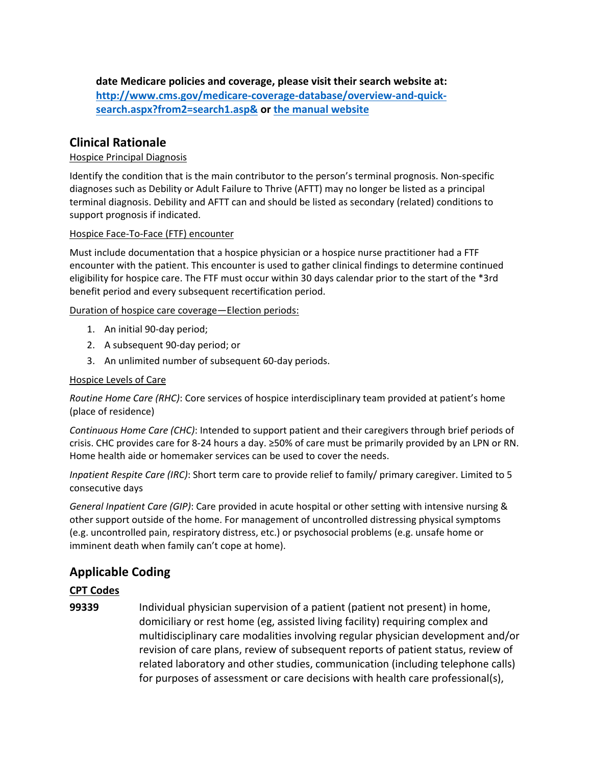**date Medicare policies and coverage, please visit their search website at: [http://www.cms.gov/medicare-coverage-database/overview-and-quick](http://www.cms.gov/medicare-coverage-database/overview-and-quick-search.aspx?from2=search1.asp&)[search.aspx?from2=search1.asp&](http://www.cms.gov/medicare-coverage-database/overview-and-quick-search.aspx?from2=search1.asp&) or the [manual website](https://www.cms.gov/Regulations-and-Guidance/Guidance/Manuals/Internet-Only-Manuals-IOMs)**

# **Clinical Rationale**

# Hospice Principal Diagnosis

Identify the condition that is the main contributor to the person's terminal prognosis. Non-specific diagnoses such as Debility or Adult Failure to Thrive (AFTT) may no longer be listed as a principal terminal diagnosis. Debility and AFTT can and should be listed as secondary (related) conditions to support prognosis if indicated.

# Hospice Face-To-Face (FTF) encounter

Must include documentation that a hospice physician or a hospice nurse practitioner had a FTF encounter with the patient. This encounter is used to gather clinical findings to determine continued eligibility for hospice care. The FTF must occur within 30 days calendar prior to the start of the \*3rd benefit period and every subsequent recertification period.

Duration of hospice care coverage—Election periods:

- 1. An initial 90-day period;
- 2. A subsequent 90-day period; or
- 3. An unlimited number of subsequent 60-day periods.

### Hospice Levels of Care

*Routine Home Care (RHC)*: Core services of hospice interdisciplinary team provided at patient's home (place of residence)

*Continuous Home Care (CHC)*: Intended to support patient and their caregivers through brief periods of crisis. CHC provides care for 8-24 hours a day. ≥50% of care must be primarily provided by an LPN or RN. Home health aide or homemaker services can be used to cover the needs.

*Inpatient Respite Care (IRC)*: Short term care to provide relief to family/ primary caregiver. Limited to 5 consecutive days

*General Inpatient Care (GIP)*: Care provided in acute hospital or other setting with intensive nursing & other support outside of the home. For management of uncontrolled distressing physical symptoms (e.g. uncontrolled pain, respiratory distress, etc.) or psychosocial problems (e.g. unsafe home or imminent death when family can't cope at home).

# **Applicable Coding**

# **CPT Codes**

**99339** Individual physician supervision of a patient (patient not present) in home, domiciliary or rest home (eg, assisted living facility) requiring complex and multidisciplinary care modalities involving regular physician development and/or revision of care plans, review of subsequent reports of patient status, review of related laboratory and other studies, communication (including telephone calls) for purposes of assessment or care decisions with health care professional(s),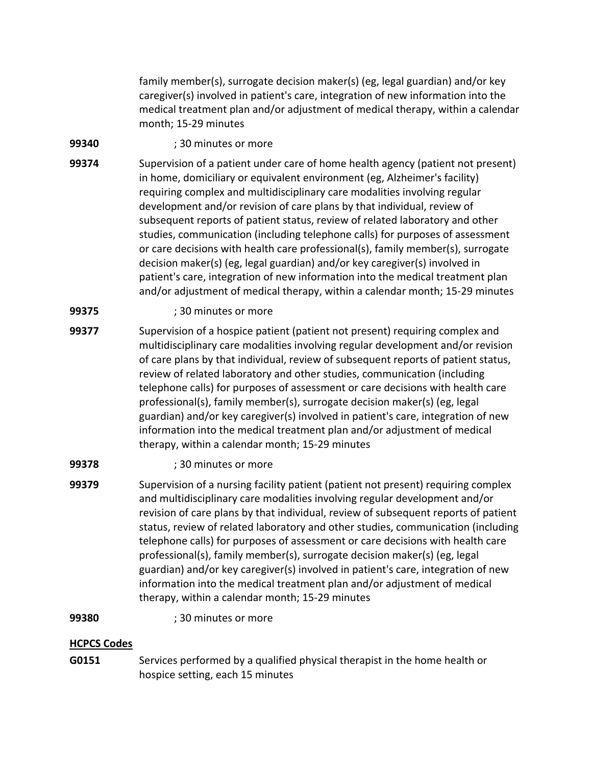family member(s), surrogate decision maker(s) (eg, legal guardian) and/or key caregiver(s) involved in patient's care, integration of new information into the medical treatment plan and/or adjustment of medical therapy, within a calendar month; 15-29 minutes

# **99340** ; 30 minutes or more

- **99374** Supervision of a patient under care of home health agency (patient not present) in home, domiciliary or equivalent environment (eg, Alzheimer's facility) requiring complex and multidisciplinary care modalities involving regular development and/or revision of care plans by that individual, review of subsequent reports of patient status, review of related laboratory and other studies, communication (including telephone calls) for purposes of assessment or care decisions with health care professional(s), family member(s), surrogate decision maker(s) (eg, legal guardian) and/or key caregiver(s) involved in patient's care, integration of new information into the medical treatment plan and/or adjustment of medical therapy, within a calendar month; 15-29 minutes
- **99375** ; 30 minutes or more
- **99377** Supervision of a hospice patient (patient not present) requiring complex and multidisciplinary care modalities involving regular development and/or revision of care plans by that individual, review of subsequent reports of patient status, review of related laboratory and other studies, communication (including telephone calls) for purposes of assessment or care decisions with health care professional(s), family member(s), surrogate decision maker(s) (eg, legal guardian) and/or key caregiver(s) involved in patient's care, integration of new information into the medical treatment plan and/or adjustment of medical therapy, within a calendar month; 15-29 minutes

# **99378** ; 30 minutes or more

- **99379** Supervision of a nursing facility patient (patient not present) requiring complex and multidisciplinary care modalities involving regular development and/or revision of care plans by that individual, review of subsequent reports of patient status, review of related laboratory and other studies, communication (including telephone calls) for purposes of assessment or care decisions with health care professional(s), family member(s), surrogate decision maker(s) (eg, legal guardian) and/or key caregiver(s) involved in patient's care, integration of new information into the medical treatment plan and/or adjustment of medical therapy, within a calendar month; 15-29 minutes
- **99380** ; 30 minutes or more

# **HCPCS Codes**

**G0151** Services performed by a qualified physical therapist in the home health or hospice setting, each 15 minutes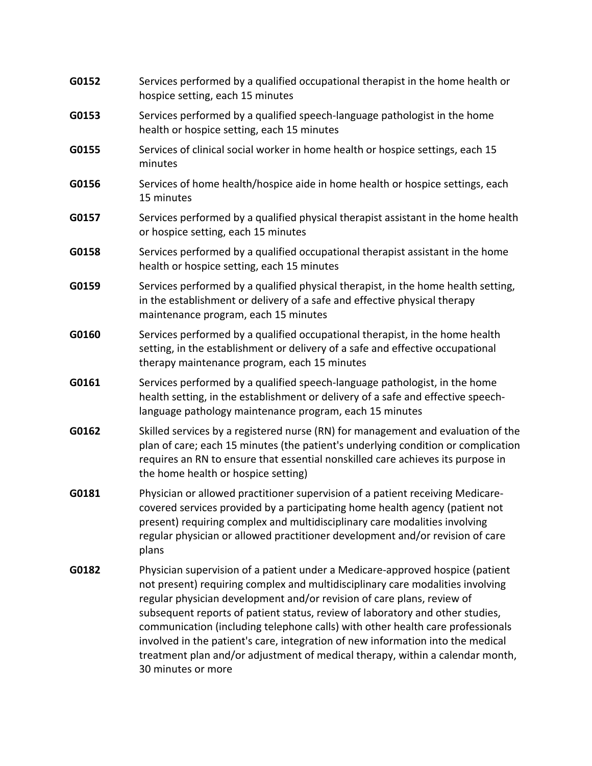| G0152 | Services performed by a qualified occupational therapist in the home health or<br>hospice setting, each 15 minutes                                                                                                                                                                                                                                                                                                                                                                                                                                                                                     |
|-------|--------------------------------------------------------------------------------------------------------------------------------------------------------------------------------------------------------------------------------------------------------------------------------------------------------------------------------------------------------------------------------------------------------------------------------------------------------------------------------------------------------------------------------------------------------------------------------------------------------|
| G0153 | Services performed by a qualified speech-language pathologist in the home<br>health or hospice setting, each 15 minutes                                                                                                                                                                                                                                                                                                                                                                                                                                                                                |
| G0155 | Services of clinical social worker in home health or hospice settings, each 15<br>minutes                                                                                                                                                                                                                                                                                                                                                                                                                                                                                                              |
| G0156 | Services of home health/hospice aide in home health or hospice settings, each<br>15 minutes                                                                                                                                                                                                                                                                                                                                                                                                                                                                                                            |
| G0157 | Services performed by a qualified physical therapist assistant in the home health<br>or hospice setting, each 15 minutes                                                                                                                                                                                                                                                                                                                                                                                                                                                                               |
| G0158 | Services performed by a qualified occupational therapist assistant in the home<br>health or hospice setting, each 15 minutes                                                                                                                                                                                                                                                                                                                                                                                                                                                                           |
| G0159 | Services performed by a qualified physical therapist, in the home health setting,<br>in the establishment or delivery of a safe and effective physical therapy<br>maintenance program, each 15 minutes                                                                                                                                                                                                                                                                                                                                                                                                 |
| G0160 | Services performed by a qualified occupational therapist, in the home health<br>setting, in the establishment or delivery of a safe and effective occupational<br>therapy maintenance program, each 15 minutes                                                                                                                                                                                                                                                                                                                                                                                         |
| G0161 | Services performed by a qualified speech-language pathologist, in the home<br>health setting, in the establishment or delivery of a safe and effective speech-<br>language pathology maintenance program, each 15 minutes                                                                                                                                                                                                                                                                                                                                                                              |
| G0162 | Skilled services by a registered nurse (RN) for management and evaluation of the<br>plan of care; each 15 minutes (the patient's underlying condition or complication<br>requires an RN to ensure that essential nonskilled care achieves its purpose in<br>the home health or hospice setting)                                                                                                                                                                                                                                                                                                        |
| G0181 | Physician or allowed practitioner supervision of a patient receiving Medicare-<br>covered services provided by a participating home health agency (patient not<br>present) requiring complex and multidisciplinary care modalities involving<br>regular physician or allowed practitioner development and/or revision of care<br>plans                                                                                                                                                                                                                                                                 |
| G0182 | Physician supervision of a patient under a Medicare-approved hospice (patient<br>not present) requiring complex and multidisciplinary care modalities involving<br>regular physician development and/or revision of care plans, review of<br>subsequent reports of patient status, review of laboratory and other studies,<br>communication (including telephone calls) with other health care professionals<br>involved in the patient's care, integration of new information into the medical<br>treatment plan and/or adjustment of medical therapy, within a calendar month,<br>30 minutes or more |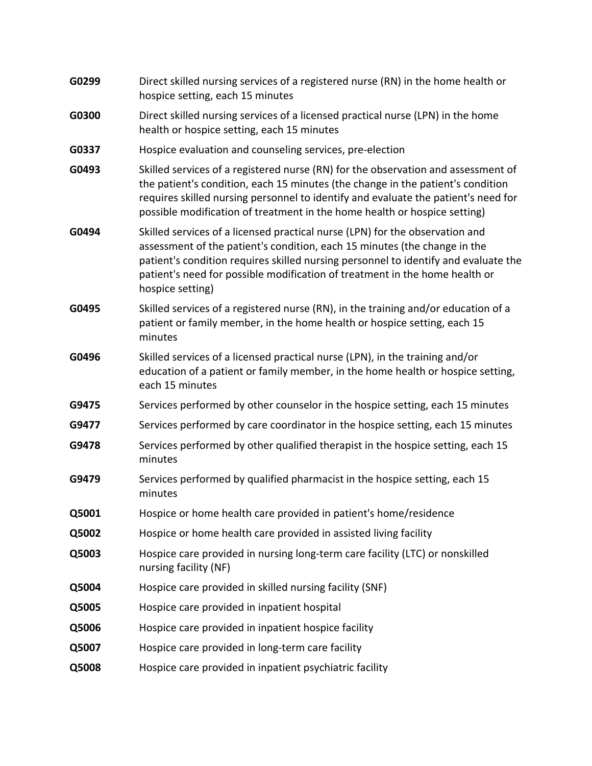| G0299 | Direct skilled nursing services of a registered nurse (RN) in the home health or<br>hospice setting, each 15 minutes                                                                                                                                                                                                                                |
|-------|-----------------------------------------------------------------------------------------------------------------------------------------------------------------------------------------------------------------------------------------------------------------------------------------------------------------------------------------------------|
| G0300 | Direct skilled nursing services of a licensed practical nurse (LPN) in the home<br>health or hospice setting, each 15 minutes                                                                                                                                                                                                                       |
| G0337 | Hospice evaluation and counseling services, pre-election                                                                                                                                                                                                                                                                                            |
| G0493 | Skilled services of a registered nurse (RN) for the observation and assessment of<br>the patient's condition, each 15 minutes (the change in the patient's condition<br>requires skilled nursing personnel to identify and evaluate the patient's need for<br>possible modification of treatment in the home health or hospice setting)             |
| G0494 | Skilled services of a licensed practical nurse (LPN) for the observation and<br>assessment of the patient's condition, each 15 minutes (the change in the<br>patient's condition requires skilled nursing personnel to identify and evaluate the<br>patient's need for possible modification of treatment in the home health or<br>hospice setting) |
| G0495 | Skilled services of a registered nurse (RN), in the training and/or education of a<br>patient or family member, in the home health or hospice setting, each 15<br>minutes                                                                                                                                                                           |
| G0496 | Skilled services of a licensed practical nurse (LPN), in the training and/or<br>education of a patient or family member, in the home health or hospice setting,<br>each 15 minutes                                                                                                                                                                  |
| G9475 | Services performed by other counselor in the hospice setting, each 15 minutes                                                                                                                                                                                                                                                                       |
| G9477 | Services performed by care coordinator in the hospice setting, each 15 minutes                                                                                                                                                                                                                                                                      |
| G9478 | Services performed by other qualified therapist in the hospice setting, each 15<br>minutes                                                                                                                                                                                                                                                          |
| G9479 | Services performed by qualified pharmacist in the hospice setting, each 15<br>minutes                                                                                                                                                                                                                                                               |
| Q5001 | Hospice or home health care provided in patient's home/residence                                                                                                                                                                                                                                                                                    |
| Q5002 | Hospice or home health care provided in assisted living facility                                                                                                                                                                                                                                                                                    |
| Q5003 | Hospice care provided in nursing long-term care facility (LTC) or nonskilled<br>nursing facility (NF)                                                                                                                                                                                                                                               |
| Q5004 | Hospice care provided in skilled nursing facility (SNF)                                                                                                                                                                                                                                                                                             |
| Q5005 | Hospice care provided in inpatient hospital                                                                                                                                                                                                                                                                                                         |
| Q5006 | Hospice care provided in inpatient hospice facility                                                                                                                                                                                                                                                                                                 |
| Q5007 | Hospice care provided in long-term care facility                                                                                                                                                                                                                                                                                                    |
| Q5008 | Hospice care provided in inpatient psychiatric facility                                                                                                                                                                                                                                                                                             |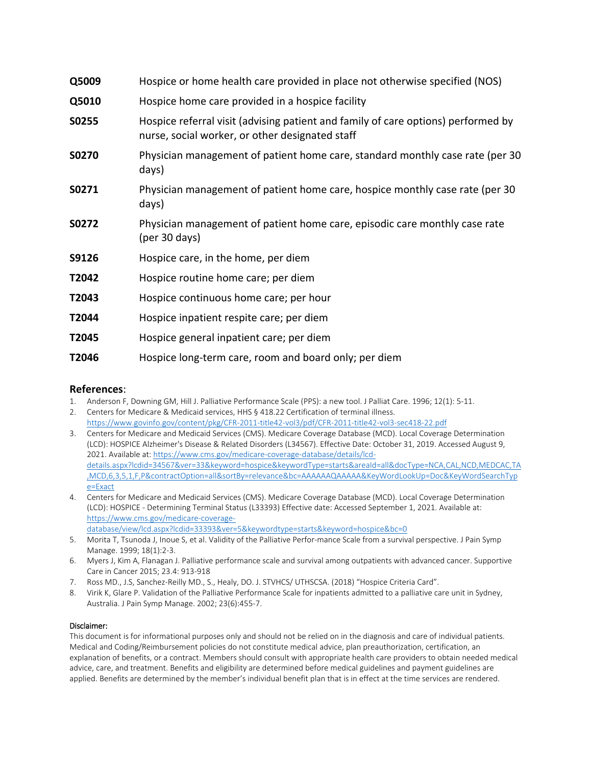| Q5009        | Hospice or home health care provided in place not otherwise specified (NOS)                                                          |
|--------------|--------------------------------------------------------------------------------------------------------------------------------------|
| Q5010        | Hospice home care provided in a hospice facility                                                                                     |
| S0255        | Hospice referral visit (advising patient and family of care options) performed by<br>nurse, social worker, or other designated staff |
| <b>SO270</b> | Physician management of patient home care, standard monthly case rate (per 30<br>days)                                               |
| S0271        | Physician management of patient home care, hospice monthly case rate (per 30<br>days)                                                |
| S0272        | Physician management of patient home care, episodic care monthly case rate<br>(per 30 days)                                          |
| <b>S9126</b> | Hospice care, in the home, per diem                                                                                                  |
| T2042        | Hospice routine home care; per diem                                                                                                  |
| T2043        | Hospice continuous home care; per hour                                                                                               |
| T2044        | Hospice inpatient respite care; per diem                                                                                             |
| T2045        | Hospice general inpatient care; per diem                                                                                             |
| T2046        | Hospice long-term care, room and board only; per diem                                                                                |

#### **References**:

- 1. Anderson F, Downing GM, Hill J. Palliative Performance Scale (PPS): a new tool. J Palliat Care. 1996; 12(1): 5-11.
- 2. Centers for Medicare & Medicaid services, HHS § 418.22 Certification of terminal illness. <https://www.govinfo.gov/content/pkg/CFR-2011-title42-vol3/pdf/CFR-2011-title42-vol3-sec418-22.pdf>
- 3. Centers for Medicare and Medicaid Services (CMS). Medicare Coverage Database (MCD). Local Coverage Determination (LCD): HOSPICE Alzheimer's Disease & Related Disorders (L34567). Effective Date: October 31, 2019. Accessed August 9, 2021. Available at[: https://www.cms.gov/medicare-coverage-database/details/lcd](https://www.cms.gov/medicare-coverage-database/details/lcd-details.aspx?lcdid=34567&ver=33&keyword=hospice&keywordType=starts&areaId=all&docType=NCA,CAL,NCD,MEDCAC,TA,MCD,6,3,5,1,F,P&contractOption=all&sortBy=relevance&bc=AAAAAAQAAAAA&KeyWordLookUp=Doc&KeyWordSearchType=Exact)[details.aspx?lcdid=34567&ver=33&keyword=hospice&keywordType=starts&areaId=all&docType=NCA,CAL,NCD,MEDCAC,TA](https://www.cms.gov/medicare-coverage-database/details/lcd-details.aspx?lcdid=34567&ver=33&keyword=hospice&keywordType=starts&areaId=all&docType=NCA,CAL,NCD,MEDCAC,TA,MCD,6,3,5,1,F,P&contractOption=all&sortBy=relevance&bc=AAAAAAQAAAAA&KeyWordLookUp=Doc&KeyWordSearchType=Exact) [,MCD,6,3,5,1,F,P&contractOption=all&sortBy=relevance&bc=AAAAAAQAAAAA&KeyWordLookUp=Doc&KeyWordSearchTyp](https://www.cms.gov/medicare-coverage-database/details/lcd-details.aspx?lcdid=34567&ver=33&keyword=hospice&keywordType=starts&areaId=all&docType=NCA,CAL,NCD,MEDCAC,TA,MCD,6,3,5,1,F,P&contractOption=all&sortBy=relevance&bc=AAAAAAQAAAAA&KeyWordLookUp=Doc&KeyWordSearchType=Exact) [e=Exact](https://www.cms.gov/medicare-coverage-database/details/lcd-details.aspx?lcdid=34567&ver=33&keyword=hospice&keywordType=starts&areaId=all&docType=NCA,CAL,NCD,MEDCAC,TA,MCD,6,3,5,1,F,P&contractOption=all&sortBy=relevance&bc=AAAAAAQAAAAA&KeyWordLookUp=Doc&KeyWordSearchType=Exact)
- 4. Centers for Medicare and Medicaid Services (CMS). Medicare Coverage Database (MCD). Local Coverage Determination (LCD): HOSPICE - Determining Terminal Status (L33393) Effective date: Accessed September 1, 2021. Available at: [https://www.cms.gov/medicare-coverage](https://www.cms.gov/medicare-coverage-database/view/lcd.aspx?lcdid=33393&ver=5&keywordtype=starts&keyword=hospice&bc=0)[database/view/lcd.aspx?lcdid=33393&ver=5&keywordtype=starts&keyword=hospice&bc=0](https://www.cms.gov/medicare-coverage-database/view/lcd.aspx?lcdid=33393&ver=5&keywordtype=starts&keyword=hospice&bc=0)
- 5. Morita T, Tsunoda J, Inoue S, et al. Validity of the Palliative Perfor-mance Scale from a survival perspective. J Pain Symp Manage. 1999; 18(1):2-3.
- 6. Myers J, Kim A, Flanagan J. Palliative performance scale and survival among outpatients with advanced cancer. Supportive Care in Cancer 2015; 23.4: 913-918
- 7. Ross MD., J.S, Sanchez-Reilly MD., S., Healy, DO. J. STVHCS/ UTHSCSA. (2018) "Hospice Criteria Card".
- 8. Virik K, Glare P. Validation of the Palliative Performance Scale for inpatients admitted to a palliative care unit in Sydney, Australia. J Pain Symp Manage. 2002; 23(6):455-7.

#### Disclaimer:

This document is for informational purposes only and should not be relied on in the diagnosis and care of individual patients. Medical and Coding/Reimbursement policies do not constitute medical advice, plan preauthorization, certification, an explanation of benefits, or a contract. Members should consult with appropriate health care providers to obtain needed medical advice, care, and treatment. Benefits and eligibility are determined before medical guidelines and payment guidelines are applied. Benefits are determined by the member's individual benefit plan that is in effect at the time services are rendered.